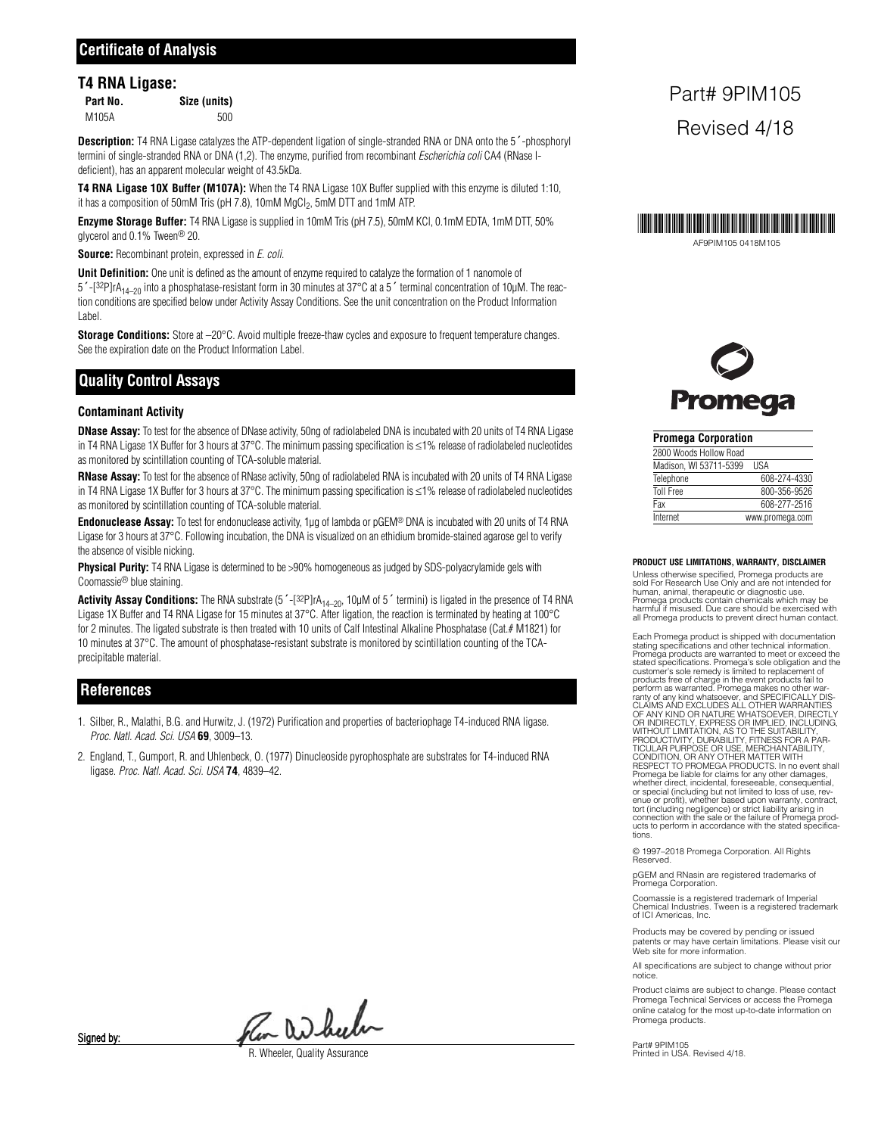#### **T4 RNA Ligase:**

| Part No. | Size (units) |
|----------|--------------|
| M105A    | 500          |

**Description:** T4 RNA Ligase catalyzes the ATP-dependent ligation of single-stranded RNA or DNA onto the 5´-phosphoryl termini of single-stranded RNA or DNA (1,2). The enzyme, purified from recombinant Escherichia coli CA4 (RNase Ideficient), has an apparent molecular weight of 43.5kDa.

**T4 RNA Ligase 10X Buffer (M107A):** When the T4 RNA Ligase 10X Buffer supplied with this enzyme is diluted 1:10, it has a composition of 50mM Tris (pH 7.8), 10mM MgCl<sub>2</sub>, 5mM DTT and 1mM ATP.

**Enzyme Storage Buffer:** T4 RNA Ligase is supplied in 10mM Tris (pH 7.5), 50mM KCl, 0.1mM EDTA, 1mM DTT, 50% glycerol and 0.1% Tween® 20.

**Source:** Recombinant protein, expressed in *E. coli.* 

**Unit Definition:** One unit is defined as the amount of enzyme required to catalyze the formation of 1 nanomole of  $5'$ -[32P]rA<sub>14–20</sub> into a phosphatase-resistant form in 30 minutes at 37°C at a 5<sup> $'$ </sup> terminal concentration of 10µM. The reaction conditions are specified below under Activity Assay Conditions. See the unit concentration on the Product Information Label.

**Storage Conditions:** Store at –20°C. Avoid multiple freeze-thaw cycles and exposure to frequent temperature changes. See the expiration date on the Product Information Label.

## **Quality Control Assays**

#### **Contaminant Activity**

**DNase Assay:** To test for the absence of DNase activity, 50ng of radiolabeled DNA is incubated with 20 units of T4 RNA Ligase in T4 RNA Ligase 1X Buffer for 3 hours at 37°C. The minimum passing specification is ≤1% release of radiolabeled nucleotides as monitored by scintillation counting of TCA-soluble material.

**RNase Assay:** To test for the absence of RNase activity, 50ng of radiolabeled RNA is incubated with 20 units of T4 RNA Ligase in T4 RNA Ligase 1X Buffer for 3 hours at 37°C. The minimum passing specification is ≤1% release of radiolabeled nucleotides as monitored by scintillation counting of TCA-soluble material.

**Endonuclease Assay:** To test for endonuclease activity, 1µg of lambda or pGEM® DNA is incubated with 20 units of T4 RNA Ligase for 3 hours at 37°C. Following incubation, the DNA is visualized on an ethidium bromide-stained agarose gel to verify the absence of visible nicking.

**Physical Purity:** T4 RNA Ligase is determined to be >90% homogeneous as judged by SDS-polyacrylamide gels with Coomassie® blue staining.

Activity Assay Conditions: The RNA substrate (5'-[32P]rA<sub>14–20</sub>, 10µM of 5' termini) is ligated in the presence of T4 RNA Ligase 1X Buffer and T4 RNA Ligase for 15 minutes at 37°C. After ligation, the reaction is terminated by heating at 100°C for 2 minutes. The ligated substrate is then treated with 10 units of Calf Intestinal Alkaline Phosphatase (Cat.# M1821) for 10 minutes at 37°C. The amount of phosphatase-resistant substrate is monitored by scintillation counting of the TCAprecipitable material.

### **References**

- 1. Silber, R., Malathi, B.G. and Hurwitz, J. (1972) Purification and properties of bacteriophage T4-induced RNA ligase. Proc. Natl. Acad. Sci. USA **69**, 3009–13.
- 2. England, T., Gumport, R. and Uhlenbeck, O. (1977) Dinucleoside pyrophosphate are substrates for T4-induced RNA ligase. Proc. Natl. Acad. Sci. USA **74**, 4839–42.

# Part# 9PIM105 Revised 4/18



**Promega** 

| <b>Promega Corporation</b> |                 |
|----------------------------|-----------------|
| 2800 Woods Hollow Road     |                 |
| Madison, WI 53711-5399     | <b>USA</b>      |
| Telephone                  | 608-274-4330    |
| <b>Toll Free</b>           | 800-356-9526    |
| Fax                        | 608-277-2516    |
| Internet                   | www.promega.com |

**PRODUCT USE LIMITATIONS, WARRANTY, DISCLAIMER**

Unless otherwise specified, Promega products are sold For Research Use Only and are not intended for human, animal, therapeutic or diagnostic use. Promega products contain chemicals which may be harmful if misused. Due care should be exercised with all Promega products to prevent direct human contact.

Each Promega product is shipped with documentation stating specifications and other technical information. Promega products are warranted to meet or exceed the stated specifications. Promega's sole obligation and the customer's sole remedy is limited to replacement of<br>products free of charge in the event products fail to<br>perform as warranted. Promega makes no other war-<br>ranty of any kind whatsoever, and SPECIFICALLY DIS-<br>CLAIMS AND EXC OF ANY KIND OR NATURE WHATSOEVER, DIRECTLY<br>OR INDIRECTLY, EXPRESS OR IMPLIED, INCLUDING,<br>WITHOUT LIMITATION, AS TO THE SUITABILITY,<br>PRODUCTIVITY, DURABILITY, FITNESS FOR A PAR-<br>TICULAR PURPOSE OR USE, MERCHANTABILITY,<br>COND Promega be liable for claims for any other damages, whether direct, incidental, foreseeable, consequential, or special (including but not limited to loss of use, rev-enue or profit), whether based upon warranty, contract, tort (including negligence) or strict liability arising in connection with the sale or the failure of Promega prod-ucts to perform in accordance with the stated specifications.

© 1997–2018 Promega Corporation. All Rights **Reserved** 

pGEM and RNasin are registered trademarks of Promega Corporation.

Coomassie is a registered trademark of Imperial Chemical Industries. Tween is a registered trademark of ICI Americas, Inc.

Products may be covered by pending or issued patents or may have certain limitations. Please visit our Web site for more information.

All specifications are subject to change without prior notice.

Product claims are subject to change. Please contact Promega Technical Services or access the Promega online catalog for the most up-to-date information on Promega products.

Part# 9PIM105 Printed in USA. Revised 4/18.

Pen Di bulu

**Wheeler, Quality Assurance** 

Signed by: